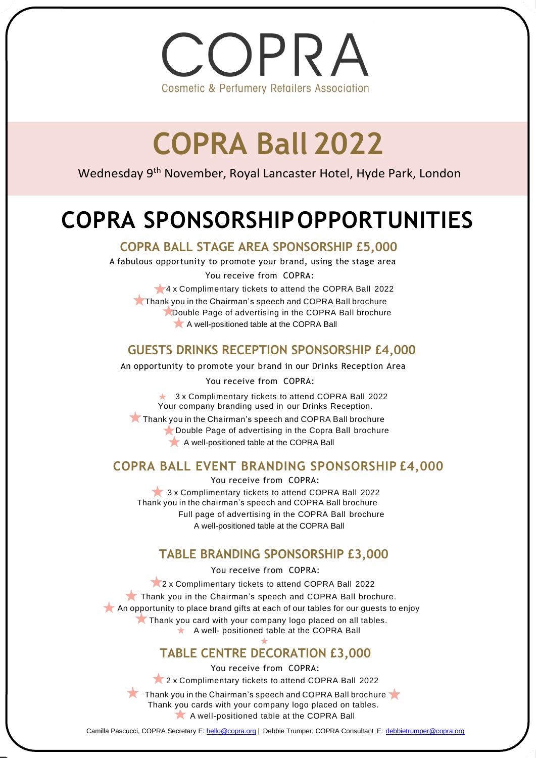OPRA **Cosmetic & Perfumery Retailers Association** 

## **COPRA Ball 2022**

Wednesday 9<sup>th</sup> November, Royal Lancaster Hotel, Hyde Park, London

### **COPRA SPONSORSHIPOPPORTUNITIES**

 **COPRA BALL STAGE AREA SPONSORSHIP £5,000**

A fabulous opportunity to promote your brand, using the stage area You receive from COPRA:

4 x Complimentary tickets to attend the COPRA Ball 2022

Thank you in the Chairman's speech and COPRA Ball brochure **Double Page of advertising in the COPRA Ball brochure** A well-positioned table at the COPRA Ball

#### **GUESTS DRINKS RECEPTION SPONSORSHIP £4,000**

An opportunity to promote your brand in our Drinks Reception Area

You receive from COPRA:

★ 3 x Complimentary tickets to attend COPRA Ball 2022 Your company branding used in our Drinks Reception.

Thank you in the Chairman's speech and COPRA Ball brochure Double Page of advertising in the Copra Ball brochure A well-positioned table at the COPRA Ball

#### **COPRA BALL EVENT BRANDING SPONSORSHIP £4,000**

You receive from COPRA: 3 x Complimentary tickets to attend COPRA Ball 2022 Thank you in the chairman's speech and COPRA Ball brochure Full page of advertising in the COPRA Ball brochure A well-positioned table at the COPRA Ball

#### **TABLE BRANDING SPONSORSHIP £3,000**

You receive from COPRA:

2 x Complimentary tickets to attend COPRA Ball 2022 Thank you in the Chairman's speech and COPRA Ball brochure. An opportunity to place brand gifts at each of our tables for our guests to enjoy Thank you card with your company logo placed on all tables.  $\star$  A well- positioned table at the COPRA Ball

#### **TABLE CENTRE DECORATION £3,000**

You receive from COPRA:

2 x Complimentary tickets to attend COPRA Ball 2022

Thank you in the Chairman's speech and COPRA Ball brochure Thank you cards with your company logo placed on tables. A well-positioned table at the COPRA Ball

Camilla Pascucci, COPRA Secretary E[: hello@copra.org](mailto:hello@copra.org) | Debbie Trumper, COPRA Consultant E: [debbietrumper@copra.org](mailto:debbietrumper@copra.org)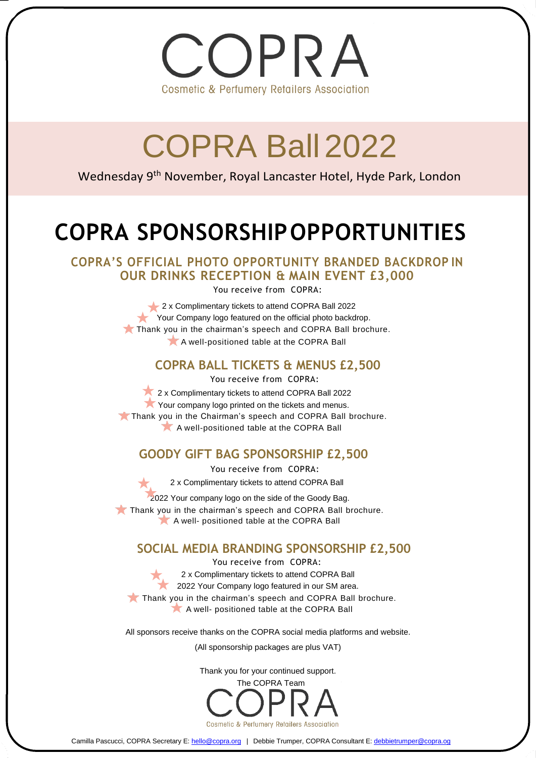

# COPRA Ball 2022

Wednesday 9th November, Royal Lancaster Hotel, Hyde Park, London

### **COPRA SPONSORSHIPOPPORTUNITIES**

**COPRA'S OFFICIAL PHOTO OPPORTUNITY BRANDED BACKDROP IN OUR DRINKS RECEPTION & MAIN EVENT £3,000**

You receive from COPRA:

2 x Complimentary tickets to attend COPRA Ball 2022 Your Company logo featured on the official photo backdrop. Thank you in the chairman's speech and COPRA Ball brochure. A well-positioned table at the COPRA Ball

#### **COPRA BALL TICKETS & MENUS £2,500**

You receive from COPRA:

2 x Complimentary tickets to attend COPRA Ball 2022 Your company logo printed on the tickets and menus. Thank you in the Chairman's speech and COPRA Ball brochure. A well-positioned table at the COPRA Ball

#### **GOODY GIFT BAG SPONSORSHIP £2,500**

You receive from COPRA:

2 x Complimentary tickets to attend COPRA Ball

 2022 Your company logo on the side of the Goody Bag. Thank you in the chairman's speech and COPRA Ball brochure.

A well- positioned table at the COPRA Ball

#### **SOCIAL MEDIA BRANDING SPONSORSHIP £2,500**

You receive from COPRA: 2 x Complimentary tickets to attend COPRA Ball 2022 Your Company logo featured in our SM area. Thank you in the chairman's speech and COPRA Ball brochure. A well- positioned table at the COPRA Ball

All sponsors receive thanks on the COPRA social media platforms and website.

(All sponsorship packages are plus VAT)

Thank you for your continued support.